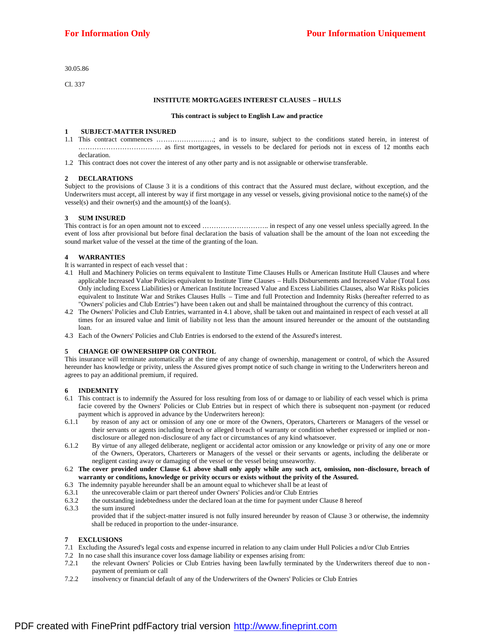30.05.86

Cl. 337

#### **INSTITUTE MORTGAGEES INTEREST CLAUSES – HULLS**

#### **This contract is subject to English Law and practice**

### **1 SUBJECT-MATTER INSURED**

- 1.1 This contract commences …………………….; and is to insure, subject to the conditions stated herein, in interest of ……………………………… as first mortgagees, in vessels to be declared for periods not in excess of 12 months each declaration.
- 1.2 This contract does not cover the interest of any other party and is not assignable or otherwise transferable.

#### **2 DECLARATIONS**

Subject to the provisions of Clause 3 it is a conditions of this contract that the Assured must declare, without exception, and the Underwriters must accept, all interest by way if first mortgage in any vessel or vessels, giving provisional notice to the name(s) of the vessel(s) and their owner(s) and the amount(s) of the loan(s).

### **3 SUM INSURED**

This contract is for an open amount not to exceed ……………………….. in respect of any one vessel unless specially agreed. In the event of loss after provisional but before final declaration the basis of valuation shall be the amount of the loan not exceeding the sound market value of the vessel at the time of the granting of the loan.

#### **4 WARRANTIES**

- It is warranted in respect of each vessel that :
- 4.1 Hull and Machinery Policies on terms equivalent to Institute Time Clauses Hulls or American Institute Hull Clauses and where applicable Increased Value Policies equivalent to Institute Time Clauses – Hulls Disbursements and Increased Value (Total Loss Only including Excess Liabilities) or American Institute Increased Value and Excess Liabilities Clauses, also War Risks policies equivalent to Institute War and Strikes Clauses Hulls – Time and full Protection and Indemnity Risks (hereafter referred to as "Owners' policies and Club Entries") have been t aken out and shall be maintained throughout the currency of this contract.
- 4.2 The Owners' Policies and Club Entries, warranted in 4.1 above, shall be taken out and maintained in respect of each vessel at all times for an insured value and limit of liability not less than the amount insured hereunder or the amount of the outstanding loan.
- 4.3 Each of the Owners' Policies and Club Entries is endorsed to the extend of the Assured's interest.

#### **5 CHANGE OF OWNERSHIPP OR CONTROL**

This insurance will terminate automatically at the time of any change of ownership, management or control, of which the Assured hereunder has knowledge or privity, unless the Assured gives prompt notice of such change in writing to the Underwriters hereon and agrees to pay an additional premium, if required.

#### **6 INDEMNITY**

- 6.1 This contract is to indemnify the Assured for loss resulting from loss of or damage to or liability of each vessel which is prima facie covered by the Owners' Policies or Club Entries but in respect of which there is subsequent non -payment (or reduced payment which is approved in advance by the Underwriters hereon):
- 6.1.1 by reason of any act or omission of any one or more of the Owners, Operators, Charterers or Managers of the vessel or their servants or agents including breach or alleged breach of warranty or condition whether expressed or implied or nondisclosure or alleged non-disclosure of any fact or circumstances of any kind whatsoever.
- 6.1.2 By virtue of any alleged deliberate, negligent or accidental actor omission or any knowledge or privity of any one or more of the Owners, Operators, Charterers or Managers of the vessel or their servants or agents, including the deliberate or negligent casting away or damaging of the vessel or the vessel being unseaworthy.
- 6.2 The cover provided under Clause 6.1 above shall only apply while any such act, omission, non-disclosure, breach of **warranty or conditions, knowledge or privity occurs or exists without the privity of the Assured.**
- 6.3 The indemnity payable hereunder shall be an amount equal to whichever shall be at least of
- 6.3.1 the unrecoverable claim or part thereof under Owners' Policies and/or Club Entries
- 6.3.2 the outstanding indebtedness under the declared loan at the time for payment under Clause 8 hereof 6.3.3 the sum insured
	- provided that if the subject-matter insured is not fully insured hereunder by reason of Clause 3 or otherwise, the indemnity shall be reduced in proportion to the under-insurance.

# **7 EXCLUSIONS**

- 7.1 Excluding the Assured's legal costs and expense incurred in relation to any claim under Hull Policies a nd/or Club Entries
- 7.2 In no case shall this insurance cover loss damage liability or expenses arising from:
- 7.2.1 the relevant Owners' Policies or Club Entries having been lawfully terminated by the Underwriters thereof due to non payment of premium or call
- 7.2.2 insolvency or financial default of any of the Underwriters of the Owners' Policies or Club Entries